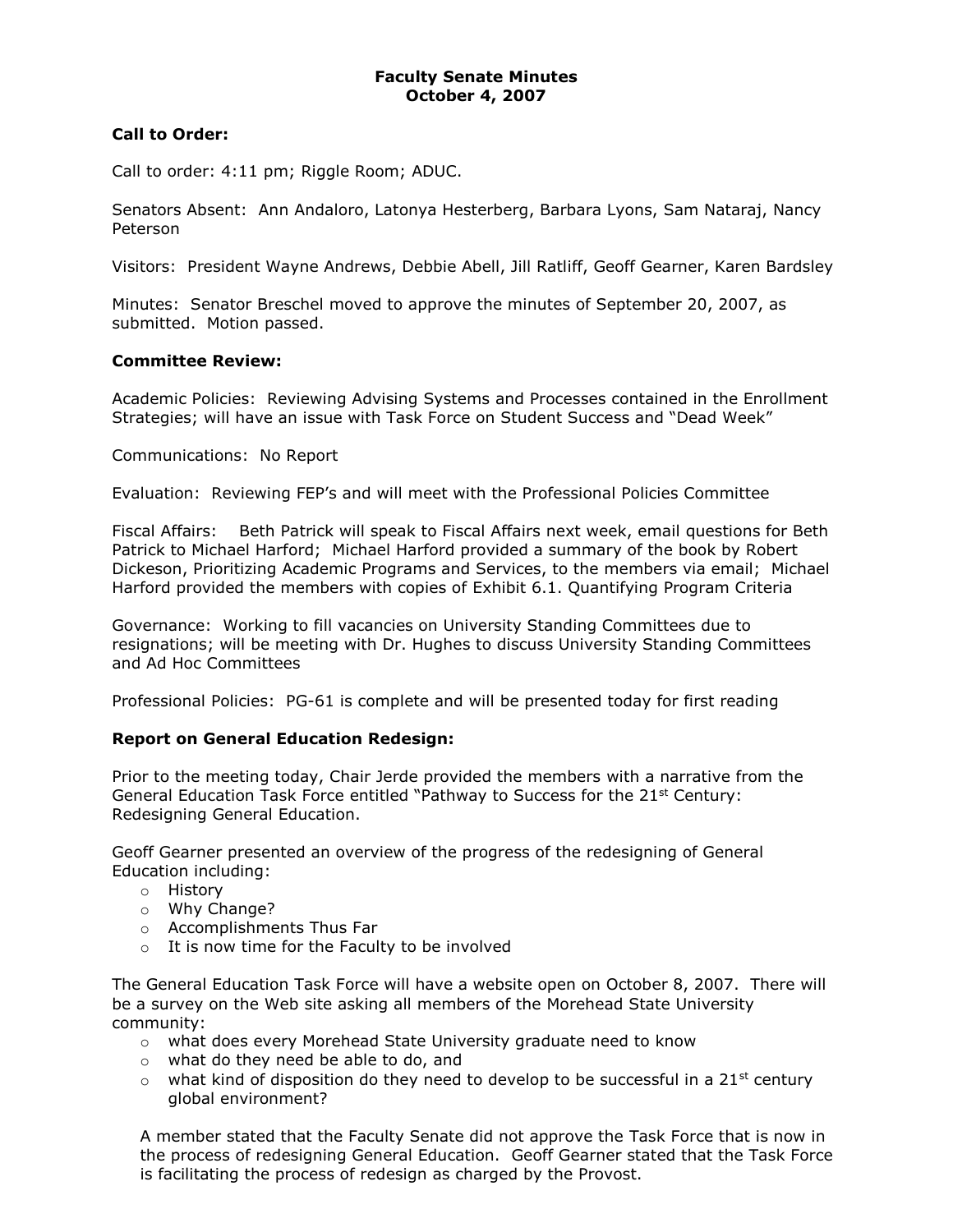### **Call to Order:**

Call to order: 4:11 pm; Riggle Room; ADUC.

Senators Absent: Ann Andaloro, Latonya Hesterberg, Barbara Lyons, Sam Nataraj, Nancy Peterson

Visitors: President Wayne Andrews, Debbie Abell, Jill Ratliff, Geoff Gearner, Karen Bardsley

Minutes: Senator Breschel moved to approve the minutes of September 20, 2007, as submitted. Motion passed.

### **Committee Review:**

Academic Policies: Reviewing Advising Systems and Processes contained in the Enrollment Strategies; will have an issue with Task Force on Student Success and "Dead Week"

Communications: No Report

Evaluation: Reviewing FEP's and will meet with the Professional Policies Committee

Fiscal Affairs: Beth Patrick will speak to Fiscal Affairs next week, email questions for Beth Patrick to Michael Harford; Michael Harford provided a summary of the book by Robert Dickeson, Prioritizing Academic Programs and Services, to the members via email; Michael Harford provided the members with copies of Exhibit 6.1. Quantifying Program Criteria

Governance: Working to fill vacancies on University Standing Committees due to resignations; will be meeting with Dr. Hughes to discuss University Standing Committees and Ad Hoc Committees

Professional Policies: PG-61 is complete and will be presented today for first reading

### **Report on General Education Redesign:**

Prior to the meeting today, Chair Jerde provided the members with a narrative from the General Education Task Force entitled "Pathway to Success for the 21<sup>st</sup> Century: Redesigning General Education.

Geoff Gearner presented an overview of the progress of the redesigning of General Education including:

- o History
- o Why Change?
- o Accomplishments Thus Far
- o It is now time for the Faculty to be involved

The General Education Task Force will have a website open on October 8, 2007. There will be a survey on the Web site asking all members of the Morehead State University community:

- $\circ$  what does every Morehead State University graduate need to know
- o what do they need be able to do, and
- $\circ$  what kind of disposition do they need to develop to be successful in a 21st century global environment?

A member stated that the Faculty Senate did not approve the Task Force that is now in the process of redesigning General Education. Geoff Gearner stated that the Task Force is facilitating the process of redesign as charged by the Provost.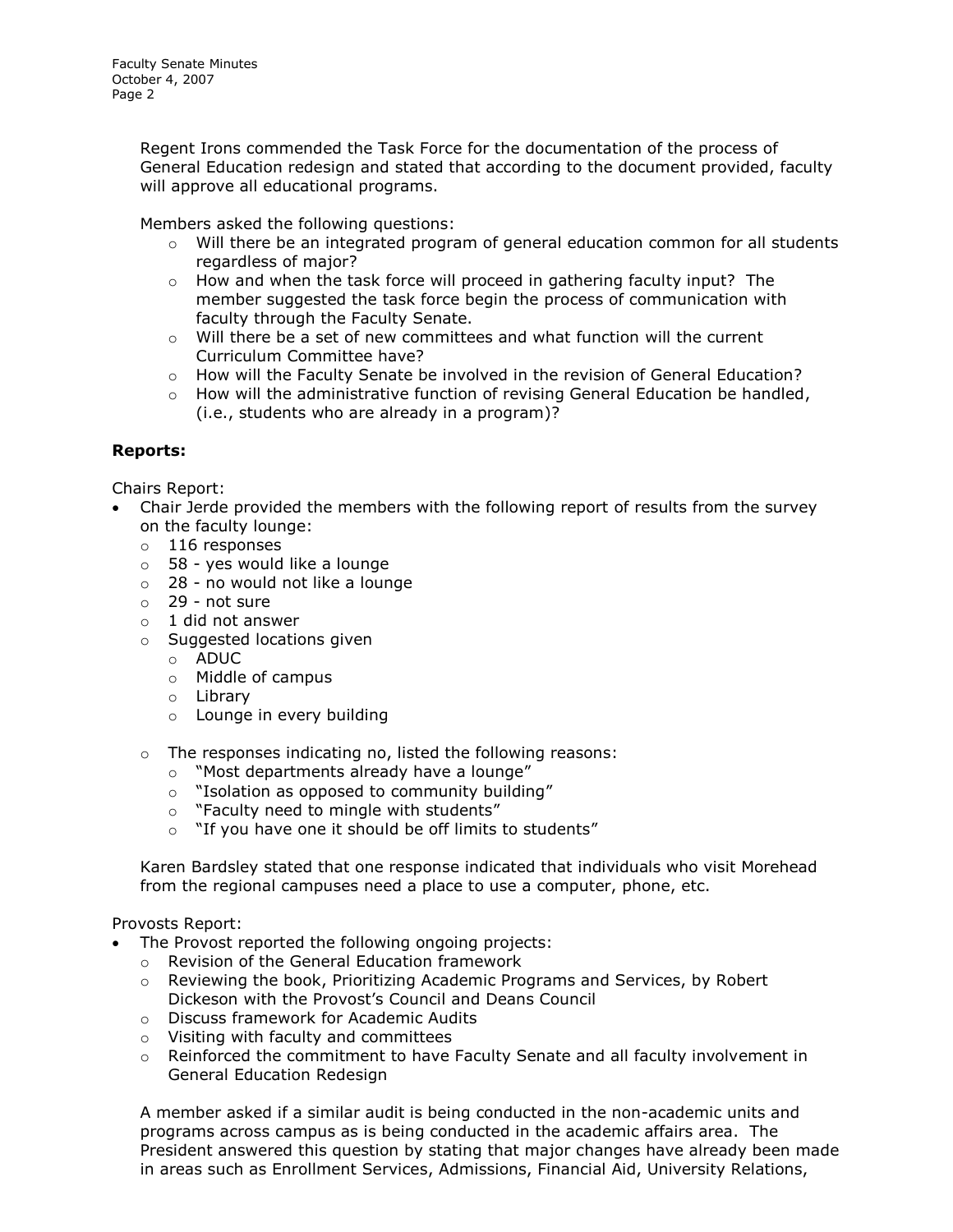Regent Irons commended the Task Force for the documentation of the process of General Education redesign and stated that according to the document provided, faculty will approve all educational programs.

Members asked the following questions:

- $\circ$  Will there be an integrated program of general education common for all students regardless of major?
- $\circ$  How and when the task force will proceed in gathering faculty input? The member suggested the task force begin the process of communication with faculty through the Faculty Senate.
- $\circ$  Will there be a set of new committees and what function will the current Curriculum Committee have?
- o How will the Faculty Senate be involved in the revision of General Education?
- $\circ$  How will the administrative function of revising General Education be handled, (i.e., students who are already in a program)?

# **Reports:**

Chairs Report:

- Chair Jerde provided the members with the following report of results from the survey on the faculty lounge:
	- o 116 responses
	- o 58 yes would like a lounge
	- o 28 no would not like a lounge
	- o 29 not sure
	- o 1 did not answer
	- o Suggested locations given
		- o ADUC
		- o Middle of campus
		- o Library
		- o Lounge in every building
	- o The responses indicating no, listed the following reasons:
		- o "Most departments already have a lounge"
		- o "Isolation as opposed to community building"
		- o "Faculty need to mingle with students"
		- o "If you have one it should be off limits to students"

Karen Bardsley stated that one response indicated that individuals who visit Morehead from the regional campuses need a place to use a computer, phone, etc.

### Provosts Report:

- The Provost reported the following ongoing projects:
	- o Revision of the General Education framework
	- $\circ$  Reviewing the book, Prioritizing Academic Programs and Services, by Robert Dickeson with the Provost's Council and Deans Council
	- o Discuss framework for Academic Audits
	- o Visiting with faculty and committees
	- $\circ$  Reinforced the commitment to have Faculty Senate and all faculty involvement in General Education Redesign

A member asked if a similar audit is being conducted in the non-academic units and programs across campus as is being conducted in the academic affairs area. The President answered this question by stating that major changes have already been made in areas such as Enrollment Services, Admissions, Financial Aid, University Relations,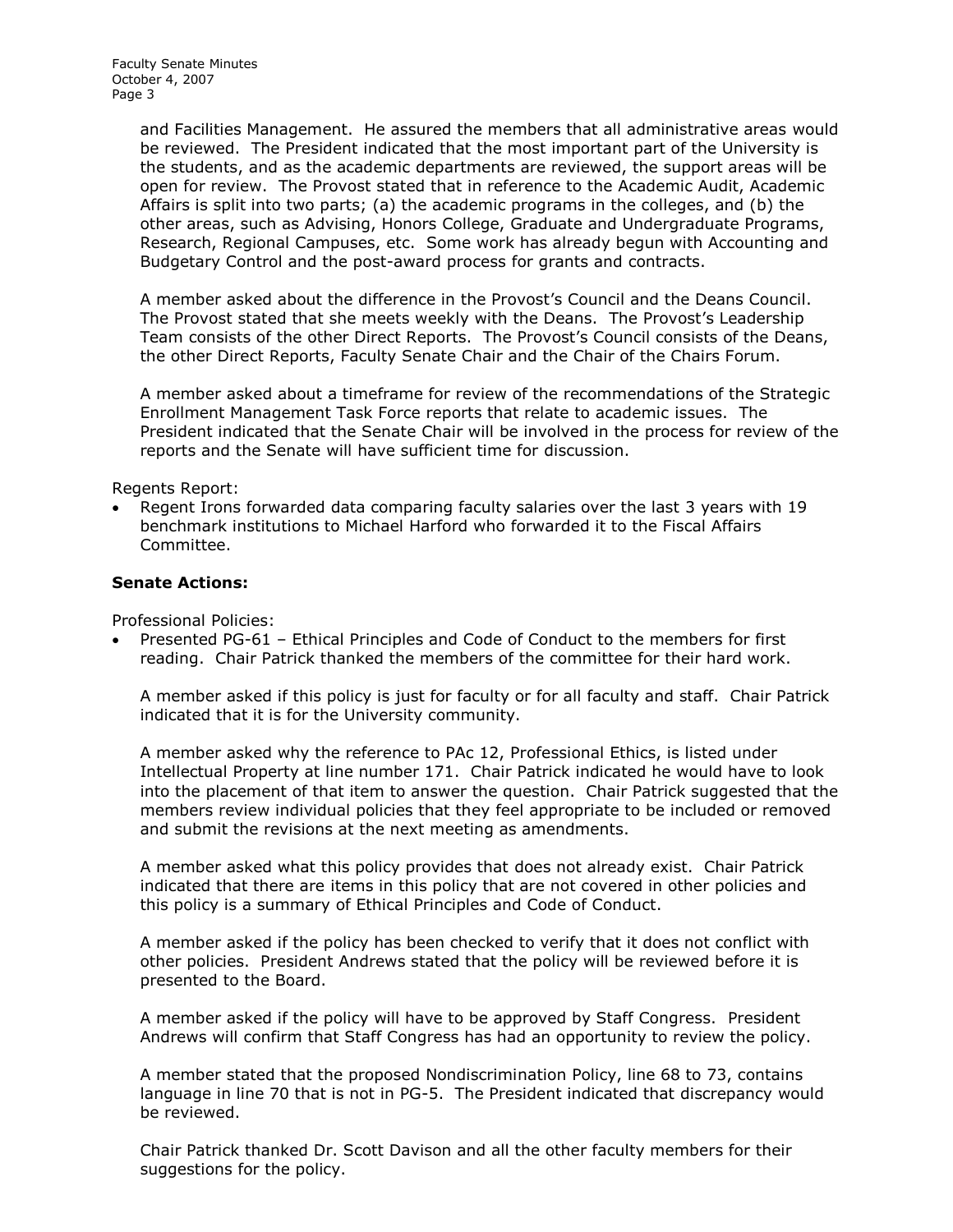Faculty Senate Minutes October 4, 2007 Page 3

> and Facilities Management. He assured the members that all administrative areas would be reviewed. The President indicated that the most important part of the University is the students, and as the academic departments are reviewed, the support areas will be open for review. The Provost stated that in reference to the Academic Audit, Academic Affairs is split into two parts; (a) the academic programs in the colleges, and (b) the other areas, such as Advising, Honors College, Graduate and Undergraduate Programs, Research, Regional Campuses, etc. Some work has already begun with Accounting and Budgetary Control and the post-award process for grants and contracts.

A member asked about the difference in the Provost's Council and the Deans Council. The Provost stated that she meets weekly with the Deans. The Provost's Leadership Team consists of the other Direct Reports. The Provost's Council consists of the Deans, the other Direct Reports, Faculty Senate Chair and the Chair of the Chairs Forum.

A member asked about a timeframe for review of the recommendations of the Strategic Enrollment Management Task Force reports that relate to academic issues. The President indicated that the Senate Chair will be involved in the process for review of the reports and the Senate will have sufficient time for discussion.

Regents Report:

 Regent Irons forwarded data comparing faculty salaries over the last 3 years with 19 benchmark institutions to Michael Harford who forwarded it to the Fiscal Affairs Committee.

#### **Senate Actions:**

Professional Policies:

 Presented PG-61 – Ethical Principles and Code of Conduct to the members for first reading. Chair Patrick thanked the members of the committee for their hard work.

A member asked if this policy is just for faculty or for all faculty and staff. Chair Patrick indicated that it is for the University community.

A member asked why the reference to PAc 12, Professional Ethics, is listed under Intellectual Property at line number 171. Chair Patrick indicated he would have to look into the placement of that item to answer the question. Chair Patrick suggested that the members review individual policies that they feel appropriate to be included or removed and submit the revisions at the next meeting as amendments.

A member asked what this policy provides that does not already exist. Chair Patrick indicated that there are items in this policy that are not covered in other policies and this policy is a summary of Ethical Principles and Code of Conduct.

A member asked if the policy has been checked to verify that it does not conflict with other policies. President Andrews stated that the policy will be reviewed before it is presented to the Board.

A member asked if the policy will have to be approved by Staff Congress. President Andrews will confirm that Staff Congress has had an opportunity to review the policy.

A member stated that the proposed Nondiscrimination Policy, line 68 to 73, contains language in line 70 that is not in PG-5. The President indicated that discrepancy would be reviewed.

Chair Patrick thanked Dr. Scott Davison and all the other faculty members for their suggestions for the policy.